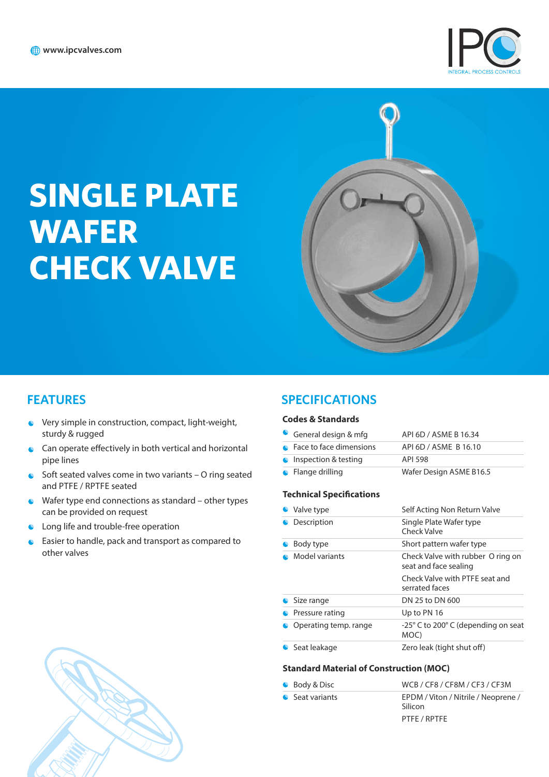

# **SINGLE PLATE WAFER CHECK VALVE**



## **FEATURES**

- Very simple in construction, compact, light-weight, sturdy & rugged
- $\bullet$  Can operate effectively in both vertical and horizontal pipe lines
- $\bullet$  Soft seated valves come in two variants  $-$  O ring seated and PTFE / RPTFE seated
- $\bullet$  Wafer type end connections as standard other types can be provided on request
- C Long life and trouble-free operation
- Easier to handle, pack and transport as compared to other valves

## **SPECIFICATIONS**

#### **Codes & Standards**

| General design & mfg      | API 6D / ASME B 16.34   |
|---------------------------|-------------------------|
| • Face to face dimensions | API 6D / ASME B 16.10   |
| • Inspection & testing    | API 598                 |
| $\bullet$ Flange drilling | Wafer Design ASME B16.5 |

#### **Technical Specifications**

| • Valve type          | Self Acting Non Return Valve                               |  |  |
|-----------------------|------------------------------------------------------------|--|--|
| Description           | Single Plate Wafer type<br>Check Valve                     |  |  |
| Body type             | Short pattern wafer type                                   |  |  |
| Model variants        | Check Valve with rubber O ring on<br>seat and face sealing |  |  |
|                       | Check Valve with PTFF seat and<br>serrated faces           |  |  |
| • Size range          | DN 25 to DN 600                                            |  |  |
| Pressure rating       | Up to PN 16                                                |  |  |
| Operating temp, range | -25° C to 200° C (depending on seat<br>MOC)                |  |  |
| Seat leakage          | Zero leak (tight shut off)                                 |  |  |

#### **Standard Material of Construction (MOC)**

| • Body & Disc   | WCB / CF8 / CF8M / CF3 / CF3M                  |
|-----------------|------------------------------------------------|
| • Seat variants | EPDM / Viton / Nitrile / Neoprene /<br>Silicon |
|                 | PTFE / RPTFE                                   |